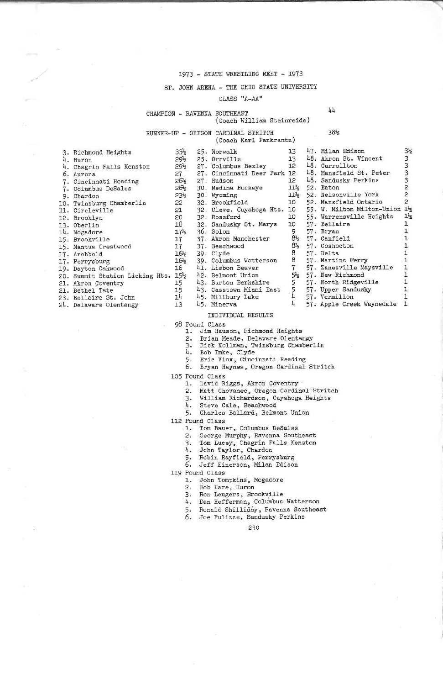## 1973 - STATE WRESTLING MEET - 1973

ST. JOHN ARENA - THE OHIO STATE UNIVERSITY

## CLASS "A-AA"

# CHAMPION - RAVENNA SOUTHEAST RUNNER-UP - OREGON CARDINAL STRITCH

(Coach William Steinreide)

 $\frac{1}{4}$  $38\frac{1}{2}$ 

|                                 |                 | (Coach Karl Pankrantz)                |                 |                                |                         |
|---------------------------------|-----------------|---------------------------------------|-----------------|--------------------------------|-------------------------|
| 3. Richmond Heights             | $33\frac{1}{2}$ | 25. Norwalk                           | 13              | 47. Milan Edison               | $3\frac{1}{2}$          |
| 4. Huron                        | 29 <sub>5</sub> | 25. Orrville                          | 13              | 48. Akron St. Vincent          | 3<br>3                  |
| 4. Chagrin Falls Kenston        |                 | 29 <sup>3</sup> 2 27. Columbus Bexley | 12              | 48. Carrollton                 |                         |
| 6. Aurora                       | 27              | 27. Cincinnati Deer Park 12           |                 | 48. Mansfield St. Peter        | 3                       |
| 7. Cincinnati Reading           | 26.5            | 27. Hudson                            | 12              | 48. Sandusky Perkins           | $\overline{\mathbf{3}}$ |
| 7. Columbus DeSales             | 26.5            | 30. Medina Buckeye                    | $11\frac{1}{2}$ | 52. Eaton                      | $\overline{c}$          |
| 9. Chardon                      | $23\frac{1}{2}$ | 30. Wyoming                           |                 | 11% 52. Nelsonville York       |                         |
| 0. Twinsburg Chamberlin         | $22^{\circ}$    | 32. Brookfield                        | 10 <sup>1</sup> | 52. Mansfield Ontario          |                         |
| 1. Circleville                  | 21              | 32. Cleve. Cuyahoga Hts. 10           |                 | 55. W. Milton Milton-Union 1}  |                         |
| 2. Brooklyn                     | 20              | 32. Rossford                          | 10              | 55. Warrensville Heights       | $1\frac{1}{2}$          |
| 3. Oberlin                      | 18              | 32. Sandusky St. Marys                | 10              | 57. Bellaire                   |                         |
| 4. Mogadore                     | $17\frac{1}{2}$ | 36. Solon                             | 9               | 57. Bryan                      |                         |
| 5. Brookville                   | 17              | 37. Akron Manchester                  |                 | 8 <sup>3</sup> 57. Canfield    |                         |
| 5. Mantua Crestwood             | 17              | 37. Beachwood                         |                 | 8 <sup>3</sup> 2 57. Coshocton |                         |
| 7. Archbold                     | 16.5            | 39. Clyde                             | 8               | 57. Delta                      |                         |
| 7. Perrysburg                   | $16 - 16$       | 39. Columbus Watterson                |                 | 8 57. Martins Ferry            |                         |
| 9. Dayton Oakwood               | 16              | 41. Lisbon Beaver                     |                 | 57. Zanesville Maysville       |                         |
| 20. Summit Station Licking Hts. | $15\frac{1}{2}$ | 42. Belmont Union                     |                 | 5% 57. New Richmond            |                         |
| 21. Akron Coventry              | 15              | 43. Burton Berkshire                  | 5               | 57. North Ridgeville           |                         |
| 21. Bethel Tate                 | 15              | 43. Casstown Miami East               |                 | 57. Upper Sandusky             |                         |
| 23. Bellaire St. John           | 14              | 45. Millbury Lake                     |                 | 57. Vermilion                  |                         |
| 24. Delaware Olentangy          | 13              | 45. Minerva                           |                 | 57. Apple Creek Waynedale      |                         |
|                                 |                 |                                       |                 |                                |                         |

# INDIVIDUAL RESULTS

98 Pound Class

- 
- Town Crass<br>1. Jim Hauson, Richmond Heights<br>2. Brian Meade, Delaware Olentangy<br>3. Rick Kollman, Twinsburg Chamberlin
- 
- 
- 4. Bob Imke, Clyde<br>5. Eric Viox, Cincinnati Reading
- 6. Bryan Haynes, Oregon Cardinal Stritch
- 105 Pound Class
	- 1. David Riggs, Akron Coventry
	- 2. Matt Chovanec, Oregon Cardinal Stritch
	- William Richardson, Cuyahoga Heights 3. William Richardson, Cu<br>4. Steve Cale, Beachwood
	-
	- 5. Charles Ballard, Belmont Union
- 112 Pound Class
	- 1. Tom Bauer, Columbus DeSales
	- 2. George Murphy, Ravenna Southeast
	- 2. Completely, Chagrin Falls Kenston<br>4. John Taylor, Chardon<br>5. Robin Rayfield, Perrysburg<br>6. Jeff Einerson, Milan Edison
		-
		-
		-
	-
- 119 Pound Class
	- 1. John Tompkins, Mogadore<br>2. Bob Hare, Huron
	- Bob Hare, Huron
	- 3. Ron Leugers, Brookville
	- 4. Dan Hefferman, Columbus Watterson
	- 5. Ronald Shilliday, Ravenna Southeast
	- 6. Joe Pulizze, Sandusky Perkins

230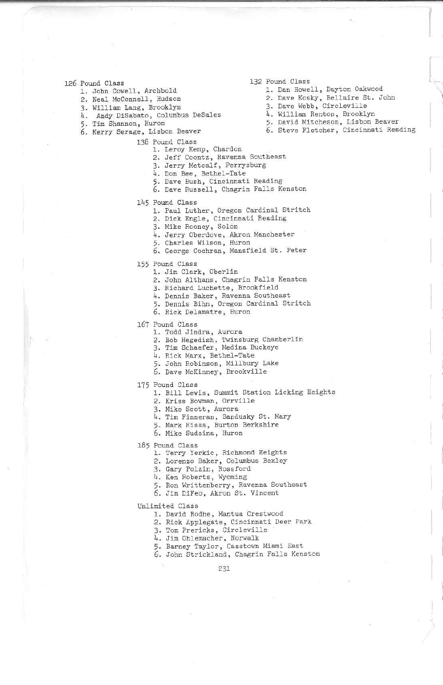- 126 Pound Class
	- 1. John Cowell, Archbold
	- 2. Neal McConnell, Hudson
	- 3. William Lang, Brooklyn
	- Andy DiSabato, Columbus DeSales 4.
	- 5. Tim Shannon, Huron
	- 6. Kerry Serage, Lisbon Beaver
		- 138 Pound Class
			- 1. Leroy Kemp, Chardon
			- 2. Jeff Coontz, Ravenna Southeast
			- 3. Jerry Metcalf, Perrysburg
			- 4. Don Bee, Bethel-Tate
			- 5. Dave Bush, Cincinnati Reading
			- 6. Dave Russell, Chagrin Falls Kenston
		- 145 Pound Class
			- 1. Paul Luther, Oregon Cardinal Stritch<br>2. Dick Engle, Cincinnati Reading
				-
			- 3. Mike Rooney, Solon
			- 4. Jerry Oberdove, Akron Manchester
			-
			- 5. Charles Wilson, Huron<br>6. George Cochran, Mansfield St. Peter
		- 155 Pound Class
			- 1. Jim Clark, Oberlin
			- 2. John Althans, Chagrin Falls Kenston
			- 3. Richard Luchette, Brookfield
			- 4. Dennis Baker, Ravenna Southeast
			- 5. Dennis Bihn, Oregon Cardinal Stritch
			- 6. Rick Delamatre, Huron
		- 167 Pound Class
			- 1. Todd Jindra, Aurora
			- 2. Bob Hegedish, Twinsburg Chamberlin
			- 3. Tim Schaefer, Medina Buckeye
			- 4. Rick Marx, Bethel-Tate
			- 5. John Robinson, Millbury Lake
			-
			- 6. Dave McKinney, Brookville
		- 175 Pound Class
			- 1. Bill Lewis, Summit Station Licking Heights
				- 2. Kriss Bowman, Orrville
				- 3. Mike Scott, Aurora
				- 4. Tim Finneran, Sandusky St. Mary
				- 5. Mark Hissa, Burton Berkshire
				- 6. Mike Sudsina, Huron
		- 185 Pound Class
			- 1. Terry Yerkic, Richmond Heights
				- 2. Lorenzo Baker, Columbus Bexley
				- 3. Gary Polzin, Rossford
			- 4. Ken Roberts, Wyoming
			- 5. Ron Writtenberry, Ravenna Southeast
			- 6. Jim DiFeo, Akron St. Vincent
		- Unlimited Class
			- 1. David Rodhe, Mantua Crestwood
			- 2. Rick Applegate, Cincinnati Deer Park
			- 3. Tom Frericks, Circleville
			- 4. Jim Ohlemacher, Norwalk
			- 5. Barney Taylor, Casstown Miami East
			- 6. John Strickland, Chagrin Falls Kenston
- 1. Dan Howell, Dayton Oakwood 2. Dave Kosky, Bellaire St. John 3. Dave Webb, Circleville
- 4. William Renton, Brooklyn

132 Pound Class

- 
- 5. David Mitcheson, Lisbon Beaver
- 6. Steve Fletcher, Cincinnati Reading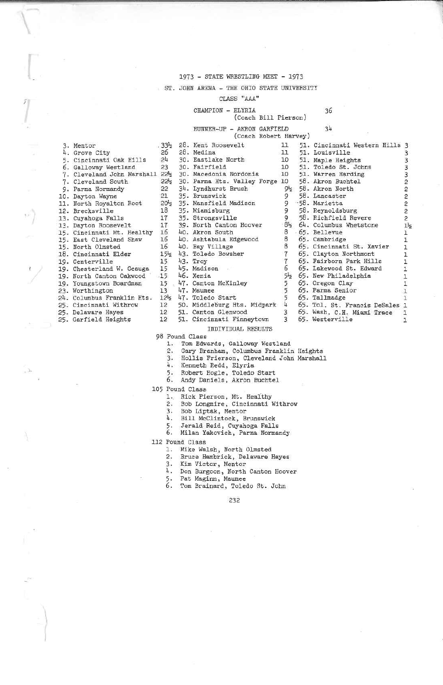## 1973 - STATE WRESTLING MEET - 1973

ST. JOHN ARENA - THE OHIO STATE UNIVERSITY

# CLASS "AAA"

### CHAMPION - ELYRIA (Coach Bill Pierson)

### RUNNER-UP - AKRON GARFIELD (Coach Robert

| 3. Mentor                             | $.33\frac{1}{2}$ | 28. Kent Roosevelt                |
|---------------------------------------|------------------|-----------------------------------|
| 4. Grove City                         | 26               | 28. Medina                        |
| 5. Cincinnati Oak Hills               | 24               | 30. Eastlake North                |
| 6. Galloway Westland                  | 23               | 30. Fairfield                     |
| 7. Cleveland John Marshall            |                  | 22% 30. Macedonia Nordonia        |
| 7. Cleveland South                    |                  | 22% 30. Parma Hts. Valley Forge 1 |
| 9. Parma Normandy                     | 22               | 34. Lyndhurst Brush               |
| 10. Dayton Wayne                      |                  | 21 35. Brunswick                  |
| 11. North Royalton Root               |                  | 20% 35. Mansfield Madison         |
| 12. Brecksville                       |                  | 18 35. Miamisburg                 |
| 13. Cuyahoga Falls                    | 17               | 35. Strongsville                  |
| 13. Dayton Roosevelt                  |                  | 17 39. North Canton Hoover        |
| 15. Cincinnati Mt. Healthy            |                  | 16 40. Akron South                |
| 15. East Cleveland Shaw               | 16               | 40. Ashtabula Edgewood            |
| 15. North Olmsted                     | 16               | 40. Bay Village                   |
| 18. Cincinnati Elder                  | 15 <sub>2</sub>  | 43. Toledo Bowsher                |
| 19. Centerville                       |                  | 15 43. Troy                       |
| 19. Chesterland W. Geauga             |                  | 15 45. Madison                    |
| 19. North Canton Oakwood 15 46. Xenia |                  |                                   |
| 19. Youngstown Boardman               |                  | 15 47. Canton McKinley            |
| 23. Worthington                       | 13               | 47. Maumee                        |
| 24. Columbus Franklin Hts.            |                  | 12% 47. Toledo Start              |
| 25. Cincinnati Withrow                | 12               | 50. Middleburg Hts. Midpark       |
| 25. Delaware Hayes                    |                  | 12 51. Canton Glenwood            |
| 25. Garfield Heights                  | 12               | 51. Cincinnati Finneytown         |
|                                       |                  | INDIVIDUAL RESULTS                |

p.

|                | Harvey) |                                         |                |
|----------------|---------|-----------------------------------------|----------------|
| L1.            |         | 51. Cincinnati Western Hills 3          |                |
| L1.            |         | 51. Louisville                          |                |
| LO             |         | 51. Maple Heights                       |                |
| LO             |         | 51. Toledo St. Johns                    |                |
| LO.            |         | 51. Warren Harding                      |                |
| LO             |         | 58. Akron Buchtel                       |                |
|                |         | $9\frac{1}{2}$ 58. Akron North          |                |
| 9<br>9<br>9    |         | 58. Lancaster                           |                |
|                |         | "58. Marietta                           |                |
|                |         | 58. Reynoldsburg                        |                |
| $\overline{9}$ |         | 58. Richfield Revere                    | $\overline{c}$ |
|                |         | 8 <sup>1</sup> 2 64. Columbus Whetstone | $1\frac{1}{2}$ |
| 8              |         | 65. Bellevue                            | 1              |
| 8              |         | 65. Cambridge                           | 1              |
| 8              |         | 65. Cincinnati St. Xavier               | 1              |
| 7              |         | 65. Clayton Northmont                   | 1              |
| $\tau$         |         | 65. Fairborn Park Hills                 | 1              |
| 6              |         | 65. Lakewood St. Edward                 | $\mathbf{1}$   |
| $5\frac{1}{2}$ |         | 65. New Philadelphia                    | $\mathbf{I}$   |
| 5554           |         | 65. Oregon Clay                         | 1              |
|                |         | 65. Parma Senior                        | $\mathbf{1}$   |
|                |         | 65. Tallmadge                           | $\mathbf{1}$   |
|                |         | 65. Tol. St. Francis DeSales            | ı              |
| 3              |         | 65. Wash, C.H. Miami Trace              | 1              |
| 3              |         | 65. Westerville                         | $\mathbf{1}$   |

36

 $34$ 

98 Pound Class

- 
- 1. Tom Edwards, Galloway Westland<br>2. Gary Branham, Columbus Franklin Heights
- 2. vary pramma, volument av Substantin mergered<br>3. Hollis Frierson, Cleveland John Marshall<br>4. Kenneth Redd, Elyria<br>5. Robert Hogle, Toledo Start<br>6. Andy Daniels, Akron Buchtel
- 
- 
- 
- 105 Pound Class
	- 1. Rick Pierson, Mt. Healthy
	- 2. Bob Longmire, Cincinnati Withrow
	-
	- 3. Bob Liptak, Mentor<br>4. Bill McClintock, Brunswick
	-
	- 5. Jerald Reid, Cuyanoga ......<br>6. Milan Yakovich, Parma Normandy

112 Pound Class

- 1. Mike Walsh, North Olmsted
	- 2. Bruce Hambrick, Delaware Hayes
	- 3. Kim Victor, Menter
	- Don Burgoon, North Canton Hoover<br>Pat Maginn, Maumee  $\overline{4}$ .
	- 5.
- 6. Tom Brainard, Toledo St. John